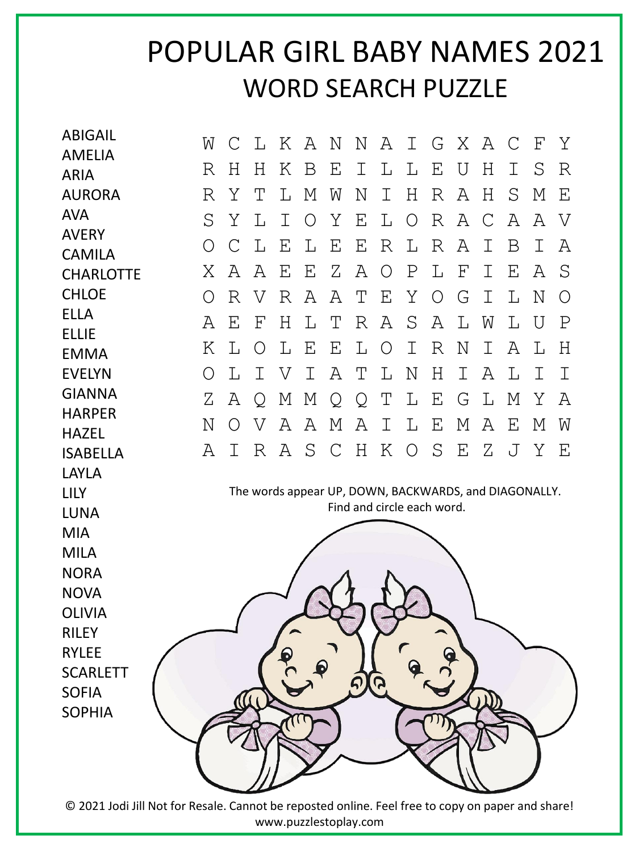## POPULAR GIRL BABY NAMES 2021 WORD SEARCH PUZZLE

| <b>ABIGAIL</b>                | W | C | L                         |   | K A | N | N                          | Α          | $\mathbb{I}$ |                   |                           | G X A C                                               |   | $\boldsymbol{\mathrm{F}}$ | Υ           |
|-------------------------------|---|---|---------------------------|---|-----|---|----------------------------|------------|--------------|-------------------|---------------------------|-------------------------------------------------------|---|---------------------------|-------------|
| <b>AMELIA</b>                 | R | H | Η                         | Κ | B   | Ε | Ι                          | L          | L            | Ε                 | U                         | Η                                                     | I | S                         | R           |
| <b>ARIA</b><br><b>AURORA</b>  | R | Υ | Т                         | L | М   | W | Ν                          | I          | Η            | R                 | Α                         | Н                                                     | S | М                         | Ε           |
| <b>AVA</b>                    |   |   |                           |   |     |   |                            |            |              |                   |                           |                                                       |   |                           |             |
| <b>AVERY</b>                  | S | Υ | L                         | Ι | O   | Υ | Ε                          | L          | O            | $R_{\rm}$         | Α                         | C                                                     | Α | Α                         | V           |
| <b>CAMILA</b>                 | Ο | С | L                         | Ε | L   | Ε | Ε                          | R          | $\mathbb{L}$ | R                 | Α                         | Ι                                                     | Β | I                         | Α           |
| <b>CHARLOTTE</b>              | Χ | A | A                         | Ε | Ε   | Ζ | Α                          | $\bigcirc$ | $\mathbf P$  | L                 | $\boldsymbol{\mathrm{F}}$ | Ι                                                     | Ε | Α                         | S           |
| <b>CHLOE</b>                  | Ω | R | V                         | R | Α   | A | Т                          | Ε          | Υ            | $\circ$           | G                         | I                                                     | L | N                         | $\circ$     |
| <b>ELLA</b>                   | Α | Ε | $\boldsymbol{\mathrm{F}}$ | Η | L   | Т | R                          | Α          | S            | Α                 | L                         | W                                                     | L | U                         | $\mathbf P$ |
| <b>ELLIE</b><br><b>EMMA</b>   | Κ | L | O                         | L | Ε   | Ε | L                          | O          | Ι            | R                 | Ν                         | I                                                     | Α | L                         | Η           |
| <b>EVELYN</b>                 | O | L | Ι                         | V | I   | Α | Τ                          | L          | Ν            | Η                 | Ι                         | Α                                                     | L | Ι                         | I           |
| <b>GIANNA</b>                 | Ζ | Α |                           | М |     |   |                            | Τ          | L            | Ε                 | G                         | L                                                     | М | Υ                         | Α           |
| <b>HARPER</b>                 |   |   | Q                         |   | М   | Q | Q                          |            |              |                   |                           |                                                       |   |                           |             |
| <b>HAZEL</b>                  | Ν | O | V                         | Α | Α   | М | Α                          | I          | L            | Ε                 | М                         | A                                                     | Ε | М                         | W           |
| <b>ISABELLA</b>               | Α | I | R                         | Α | S   | C | H                          | Κ          | $\circ$      | S                 | Ε                         | Ζ                                                     | J | Y                         | Ε           |
| <b>LAYLA</b>                  |   |   |                           |   |     |   |                            |            |              |                   |                           |                                                       |   |                           |             |
| <b>LILY</b>                   |   |   |                           |   |     |   | Find and circle each word. |            |              |                   |                           | The words appear UP, DOWN, BACKWARDS, and DIAGONALLY. |   |                           |             |
| <b>LUNA</b>                   |   |   |                           |   |     |   |                            |            |              |                   |                           |                                                       |   |                           |             |
| <b>MIA</b>                    |   |   |                           |   |     |   |                            |            |              |                   |                           |                                                       |   |                           |             |
| <b>MILA</b>                   |   |   |                           |   |     |   |                            |            |              |                   |                           |                                                       |   |                           |             |
| <b>NORA</b>                   |   |   |                           |   |     |   |                            |            |              |                   |                           |                                                       |   |                           |             |
| <b>NOVA</b>                   |   |   |                           |   |     |   |                            |            |              |                   |                           |                                                       |   |                           |             |
| <b>OLIVIA</b><br><b>RILEY</b> |   |   |                           |   |     |   |                            |            |              |                   |                           |                                                       |   |                           |             |
| <b>RYLEE</b>                  |   |   |                           |   |     |   |                            |            |              | $\mathbf{\Omega}$ |                           |                                                       |   |                           |             |
| <b>SCARLETT</b>               |   |   |                           | 6 |     |   |                            |            |              |                   |                           |                                                       |   |                           |             |
| <b>SOFIA</b>                  |   |   |                           |   |     |   | $\tilde{\bm{\varsigma}}$   | <b>G</b>   |              |                   |                           |                                                       |   |                           |             |
| <b>SOPHIA</b>                 |   |   |                           |   |     |   |                            |            |              |                   |                           |                                                       |   |                           |             |
|                               |   |   |                           |   |     |   |                            |            |              |                   |                           |                                                       |   |                           |             |
|                               |   |   |                           |   |     |   |                            |            |              |                   |                           |                                                       |   |                           |             |
|                               |   |   |                           |   |     |   |                            |            |              |                   |                           |                                                       |   |                           |             |
|                               |   |   |                           |   |     |   |                            |            |              |                   |                           |                                                       |   |                           |             |

© 2021 Jodi Jill Not for Resale. Cannot be reposted online. Feel free to copy on paper and share! www.puzzlestoplay.com